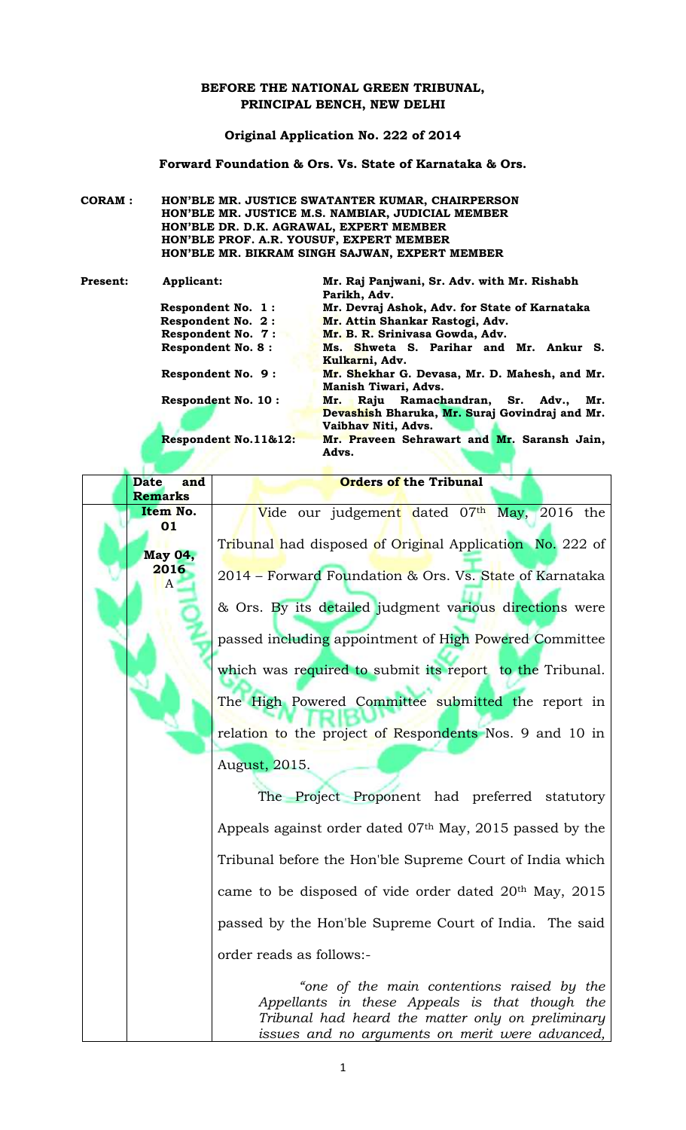# **BEFORE THE NATIONAL GREEN TRIBUNAL, PRINCIPAL BENCH, NEW DELHI**

### **Original Application No. 222 of 2014**

**Forward Foundation & Ors. Vs. State of Karnataka & Ors.** 

**CORAM : HON'BLE MR. JUSTICE SWATANTER KUMAR, CHAIRPERSON HON'BLE MR. JUSTICE M.S. NAMBIAR, JUDICIAL MEMBER HON'BLE DR. D.K. AGRAWAL, EXPERT MEMBER HON'BLE PROF. A.R. YOUSUF, EXPERT MEMBER HON'BLE MR. BIKRAM SINGH SAJWAN, EXPERT MEMBER**

| <b>Present:</b> | Applicant:                                                  | Mr. Raj Panjwani, Sr. Adv. with Mr. Rishabh<br>Parikh, Adv.                                                         |  |  |
|-----------------|-------------------------------------------------------------|---------------------------------------------------------------------------------------------------------------------|--|--|
|                 | Respondent No. 1:                                           | Mr. Devraj Ashok, Adv. for State of Karnataka                                                                       |  |  |
|                 | Respondent No. 2:                                           | Mr. Attin Shankar Rastogi, Adv.                                                                                     |  |  |
|                 | <b>Respondent No. 7:</b><br>Mr. B. R. Srinivasa Gowda, Adv. |                                                                                                                     |  |  |
|                 | <b>Respondent No. 8:</b>                                    | Ms. Shweta S. Parihar and Mr. Ankur S.<br>Kulkarni, Adv.                                                            |  |  |
|                 | Respondent No. 9:                                           | Mr. Shekhar G. Devasa, Mr. D. Mahesh, and Mr.<br><b>Manish Tiwari, Advs.</b>                                        |  |  |
|                 | <b>Respondent No. 10:</b>                                   | Raju Ramachandran, Sr. Adv.,<br>Mr.<br>Mr.<br>Devashish Bharuka, Mr. Suraj Govindraj and Mr.<br>Vaibhav Niti, Advs. |  |  |
|                 | Respondent No.11&12:                                        | Mr. Praveen Sehrawart and Mr. Saransh Jain,<br>Advs.                                                                |  |  |

| <b>Date</b><br>and | <b>Orders of the Tribunal</b>                                                                                                                                                                        |  |
|--------------------|------------------------------------------------------------------------------------------------------------------------------------------------------------------------------------------------------|--|
| <b>Remarks</b>     |                                                                                                                                                                                                      |  |
| Item No.<br>01     | Vide our judgement dated 07th May, 2016 the                                                                                                                                                          |  |
| <b>May 04,</b>     | Tribunal had disposed of Original Application No. 222 of                                                                                                                                             |  |
| 2016<br>$\Lambda$  | 2014 – Forward Foundation & Ors. Vs. State of Karnataka                                                                                                                                              |  |
|                    | & Ors. By its detailed judgment various directions were                                                                                                                                              |  |
|                    | passed including appointment of High Powered Committee                                                                                                                                               |  |
|                    | which was required to submit its report to the Tribunal.                                                                                                                                             |  |
|                    | The High Powered Committee submitted the report in                                                                                                                                                   |  |
|                    | relation to the project of Respondents Nos. 9 and 10 in                                                                                                                                              |  |
|                    | August, 2015.<br>The Project Proponent had preferred statutory                                                                                                                                       |  |
|                    | Appeals against order dated 07th May, 2015 passed by the                                                                                                                                             |  |
|                    | Tribunal before the Hon'ble Supreme Court of India which                                                                                                                                             |  |
|                    | came to be disposed of vide order dated 20 <sup>th</sup> May, 2015                                                                                                                                   |  |
|                    | passed by the Hon'ble Supreme Court of India. The said                                                                                                                                               |  |
|                    | order reads as follows:-                                                                                                                                                                             |  |
|                    | "one of the main contentions raised by the<br>Appellants in these Appeals is that though the<br>Tribunal had heard the matter only on preliminary<br>issues and no arguments on merit were advanced, |  |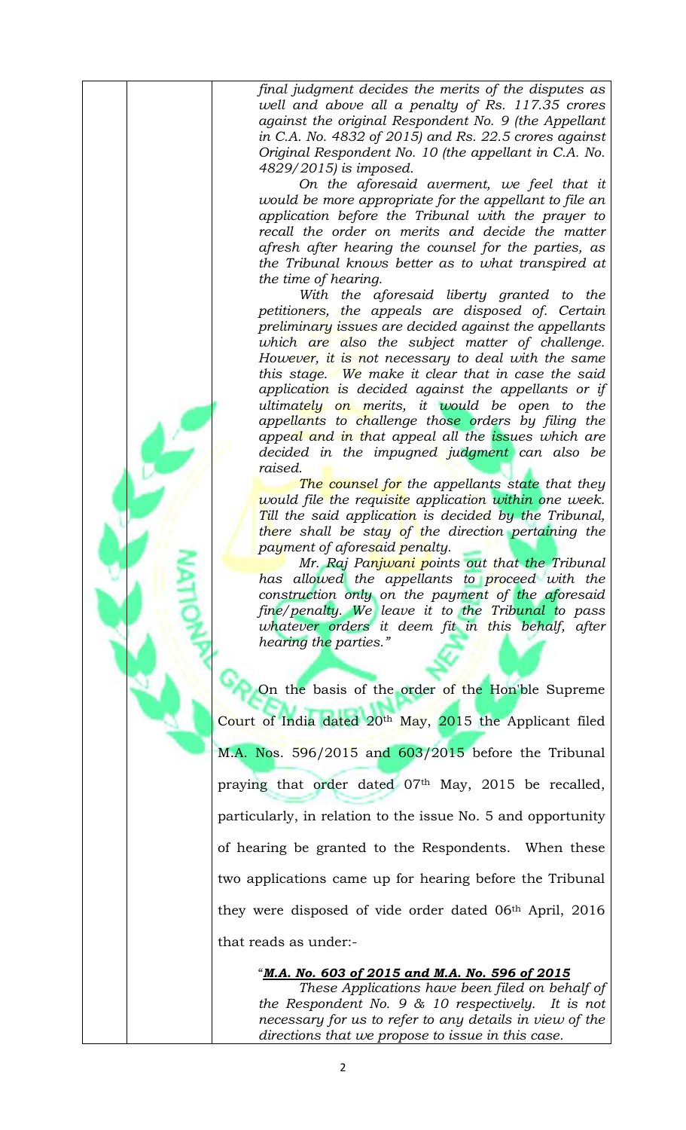*final judgment decides the merits of the disputes as well and above all a penalty of Rs. 117.35 crores against the original Respondent No. 9 (the Appellant in C.A. No. 4832 of 2015) and Rs. 22.5 crores against Original Respondent No. 10 (the appellant in C.A. No. 4829/2015) is imposed.* 

*On the aforesaid averment, we feel that it would be more appropriate for the appellant to file an application before the Tribunal with the prayer to recall the order on merits and decide the matter afresh after hearing the counsel for the parties, as the Tribunal knows better as to what transpired at the time of hearing.*

*With the aforesaid liberty granted to the petitioners, the appeals are disposed of. Certain preliminary issues are decided against the appellants which are also the subject matter of challenge. However, it is not necessary to deal with the same this stage. We make it clear that in case the said application is decided against the appellants or if ultimately on merits, it would be open to the appellants to challenge those orders by filing the appeal and in that appeal all the issues which are decided in the impugned judgment can also be raised.*

*The counsel for the appellants state that they would file the requisite application within one week. Till the said application is decided by the Tribunal, there shall be stay of the direction pertaining the payment of aforesaid penalty.*

*Mr. Raj Panjwani points out that the Tribunal has allowed the appellants to proceed with the construction only on the payment of the aforesaid fine/penalty. We leave it to the Tribunal to pass whatever orders it deem fit in this behalf, after hearing the parties."*

On the basis of the order of the Hon'ble Supreme Court of India dated  $20<sup>th</sup>$  May,  $2015$  the Applicant filed M.A. Nos. 596/2015 and 603/2015 before the Tribunal praying that order dated 07<sup>th</sup> May, 2015 be recalled, particularly, in relation to the issue No. 5 and opportunity of hearing be granted to the Respondents. When these two applications came up for hearing before the Tribunal they were disposed of vide order dated 06th April, 2016 that reads as under:-

"*M.A. No. 603 of 2015 and M.A. No. 596 of 2015*

*These Applications have been filed on behalf of the Respondent No. 9 & 10 respectively. It is not necessary for us to refer to any details in view of the directions that we propose to issue in this case.*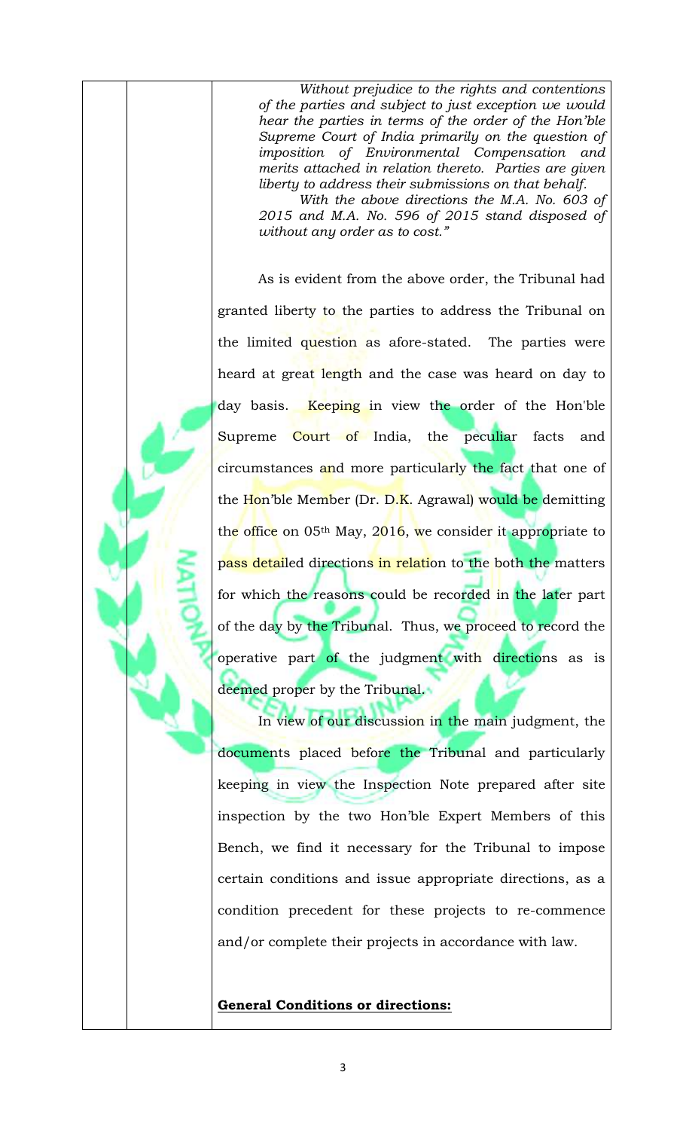*Without prejudice to the rights and contentions of the parties and subject to just exception we would hear the parties in terms of the order of the Hon'ble Supreme Court of India primarily on the question of imposition of Environmental Compensation and merits attached in relation thereto. Parties are given liberty to address their submissions on that behalf.* 

*With the above directions the M.A. No. 603 of 2015 and M.A. No. 596 of 2015 stand disposed of without any order as to cost."*

As is evident from the above order, the Tribunal had granted liberty to the parties to address the Tribunal on the limited question as afore-stated. The parties were heard at great length and the case was heard on day to day basis. Keeping in view the order of the Hon'ble Supreme Court of India, the peculiar facts and circumstances and more particularly the fact that one of the Hon'ble Member (Dr. D.K. Agrawal) would be demitting the office on  $05<sup>th</sup>$  May,  $2016$ , we consider it appropriate to pass detailed directions in relation to the both the matters for which the reasons could be recorded in the later part of the day by the Tribunal. Thus, we proceed to record the operative part of the judgment with directions as is deemed proper by the Tribunal.

In view of our discussion in the main judgment, the documents placed before the Tribunal and particularly keeping in view the Inspection Note prepared after site inspection by the two Hon'ble Expert Members of this Bench, we find it necessary for the Tribunal to impose certain conditions and issue appropriate directions, as a condition precedent for these projects to re-commence and/or complete their projects in accordance with law.

**General Conditions or directions:**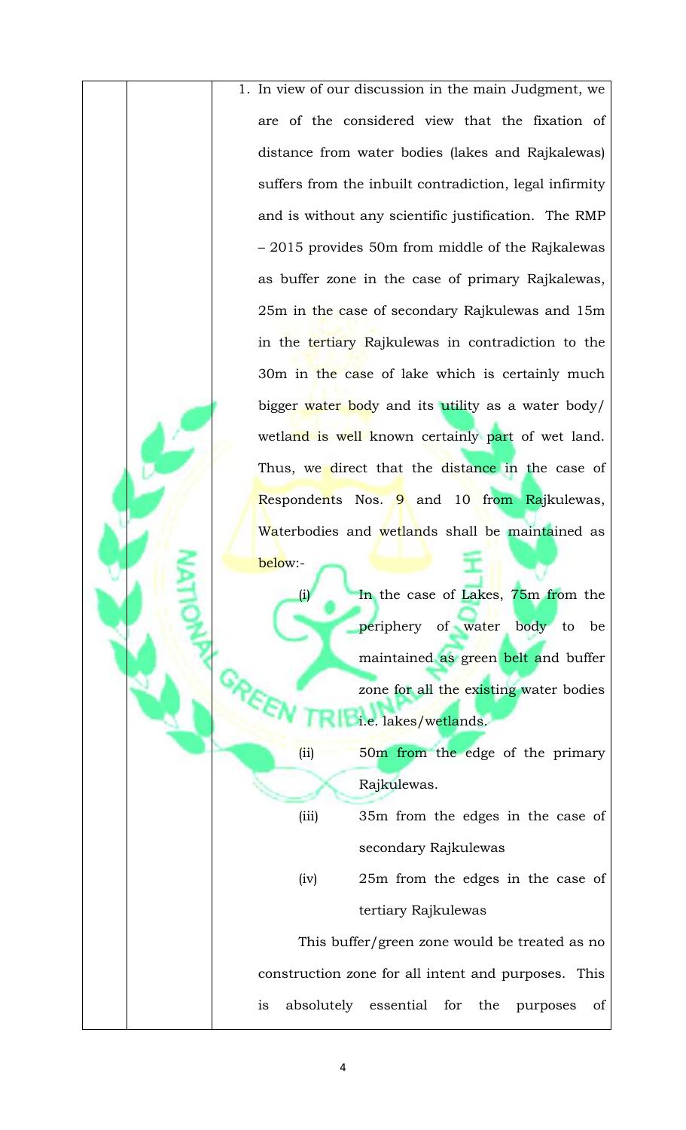1. In view of our discussion in the main Judgment, we are of the considered view that the fixation of distance from water bodies (lakes and Rajkalewas) suffers from the inbuilt contradiction, legal infirmity and is without any scientific justification. The RMP – 2015 provides 50m from middle of the Rajkalewas as buffer zone in the case of primary Rajkalewas, 25m in the case of secondary Rajkulewas and 15m in the tertiary Rajkulewas in contradiction to the 30m in the case of lake which is certainly much bigger water body and its utility as a water body/ wetland is well known certainly part of wet land. Thus, we direct that the distance in the case of Respondents Nos. 9 and 10 from Rajkulewas, Waterbodies and wetlands shall be maintained as

> In the case of Lakes, 75m from the periphery of water body to be maintained as green belt and buffer zone for all the existing water bodies i.e. lakes/wetlands.

(ii) 50m from the edge of the primary Rajkulewas.

- (iii) 35m from the edges in the case of secondary Rajkulewas
- (iv) 25m from the edges in the case of tertiary Rajkulewas

This buffer/green zone would be treated as no construction zone for all intent and purposes. This is absolutely essential for the purposes of

below:-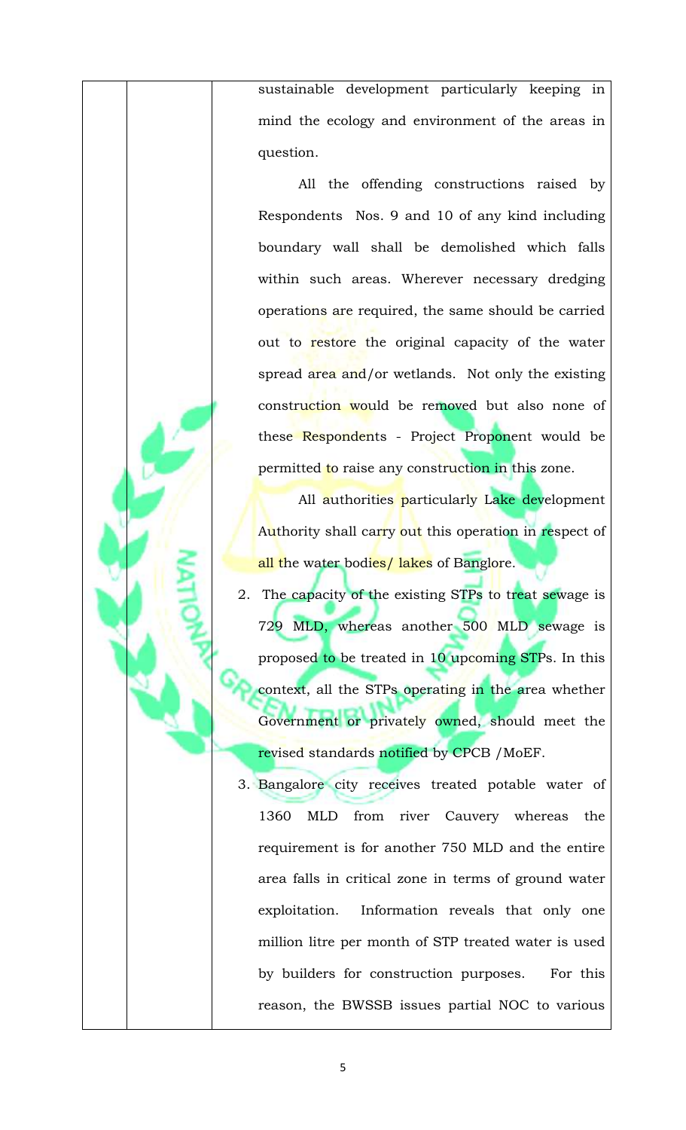sustainable development particularly keeping in mind the ecology and environment of the areas in question.

All the offending constructions raised by Respondents Nos. 9 and 10 of any kind including boundary wall shall be demolished which falls within such areas. Wherever necessary dredging operations are required, the same should be carried out to restore the original capacity of the water spread area and/or wetlands. Not only the existing construction would be removed but also none of these Respondents - Project Proponent would be permitted to raise any construction in this zone.

All authorities particularly Lake development Authority shall carry out this operation in respect of all the water bodies/ lakes of Banglore.

- 2. The capacity of the existing STPs to treat sewage is 729 MLD, whereas another 500 MLD sewage is proposed to be treated in 10 upcoming STPs. In this context, all the STPs operating in the area whether Government or privately owned, should meet the revised standards notified by CPCB / MoEF.
- 3. Bangalore city receives treated potable water of 1360 MLD from river Cauvery whereas the requirement is for another 750 MLD and the entire area falls in critical zone in terms of ground water exploitation. Information reveals that only one million litre per month of STP treated water is used by builders for construction purposes. For this reason, the BWSSB issues partial NOC to various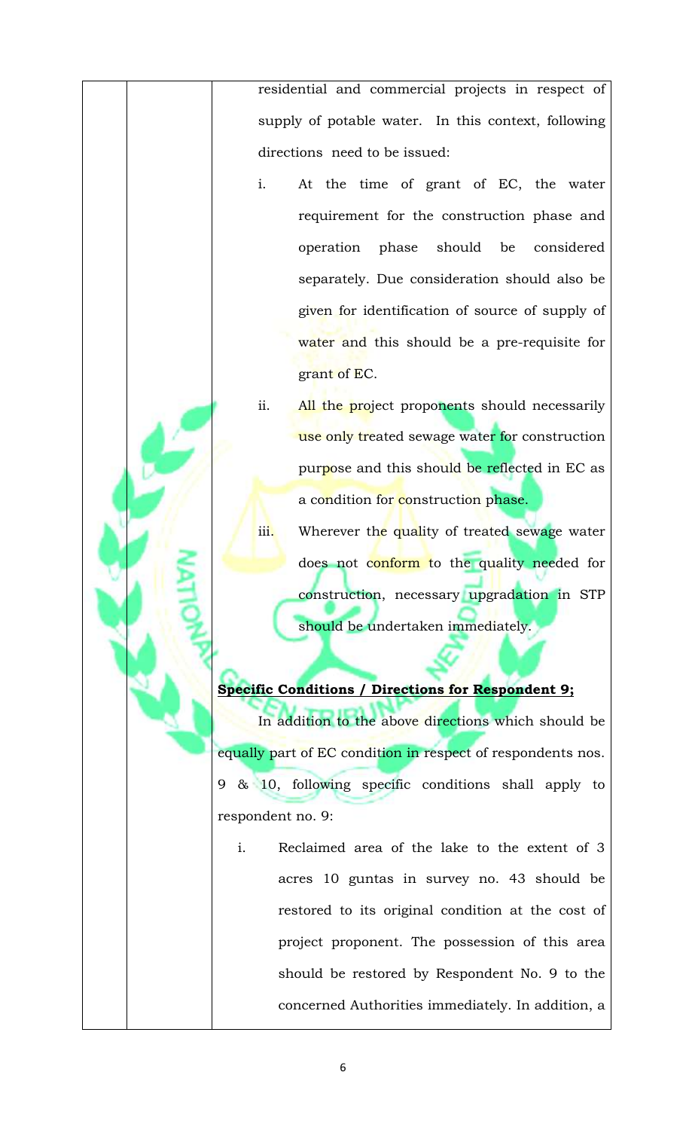residential and commercial projects in respect of supply of potable water. In this context, following directions need to be issued:

- i. At the time of grant of EC, the water requirement for the construction phase and operation phase should be considered separately. Due consideration should also be given for identification of source of supply of water and this should be a pre-requisite for grant of EC.
- ii. All the project proponents should necessarily use only treated sewage water for construction purpose and this should be reflected in EC as a condition for construction phase.
- iii. Wherever the quality of treated sewage water does not conform to the quality needed for construction, necessary upgradation in STP should be undertaken immediately.

# **Specific Conditions / Directions for Respondent 9;**

In addition to the above directions which should be equally part of EC condition in respect of respondents nos. 9 & 10, following specific conditions shall apply to respondent no. 9:

i. Reclaimed area of the lake to the extent of 3 acres 10 guntas in survey no. 43 should be restored to its original condition at the cost of project proponent. The possession of this area should be restored by Respondent No. 9 to the concerned Authorities immediately. In addition, a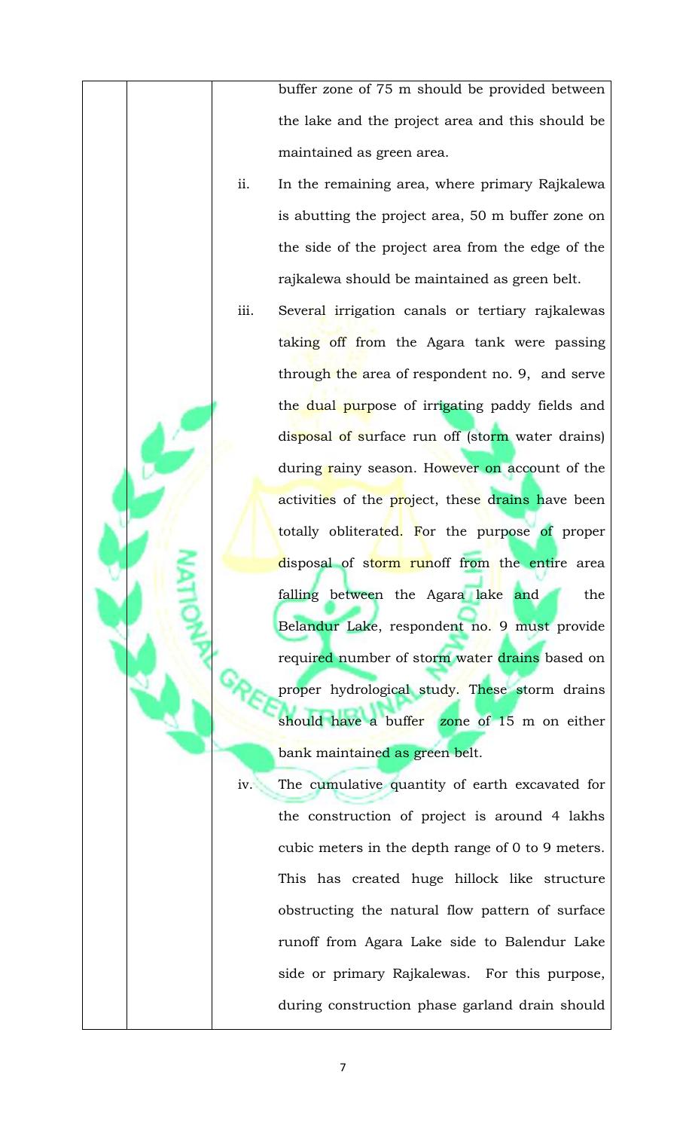buffer zone of 75 m should be provided between the lake and the project area and this should be maintained as green area.

- ii. In the remaining area, where primary Rajkalewa is abutting the project area, 50 m buffer zone on the side of the project area from the edge of the rajkalewa should be maintained as green belt.
- iii. Several irrigation canals or tertiary rajkalewas taking off from the Agara tank were passing through the area of respondent no. 9, and serve the dual purpose of irrigating paddy fields and disposal of surface run off (storm water drains) during rainy season. However on account of the activities of the project, these drains have been totally obliterated. For the purpose of proper disposal of storm runoff from the entire area falling between the Agara lake and the Belandur Lake, respondent no. 9 must provide requi<mark>red n</mark>umber of storm water <mark>drains</mark> based on proper hydrological study. These storm drains should have a buffer zone of 15 m on either bank maintained as green belt.
- iv. The cumulative quantity of earth excavated for the construction of project is around 4 lakhs cubic meters in the depth range of 0 to 9 meters. This has created huge hillock like structure obstructing the natural flow pattern of surface runoff from Agara Lake side to Balendur Lake side or primary Rajkalewas. For this purpose, during construction phase garland drain should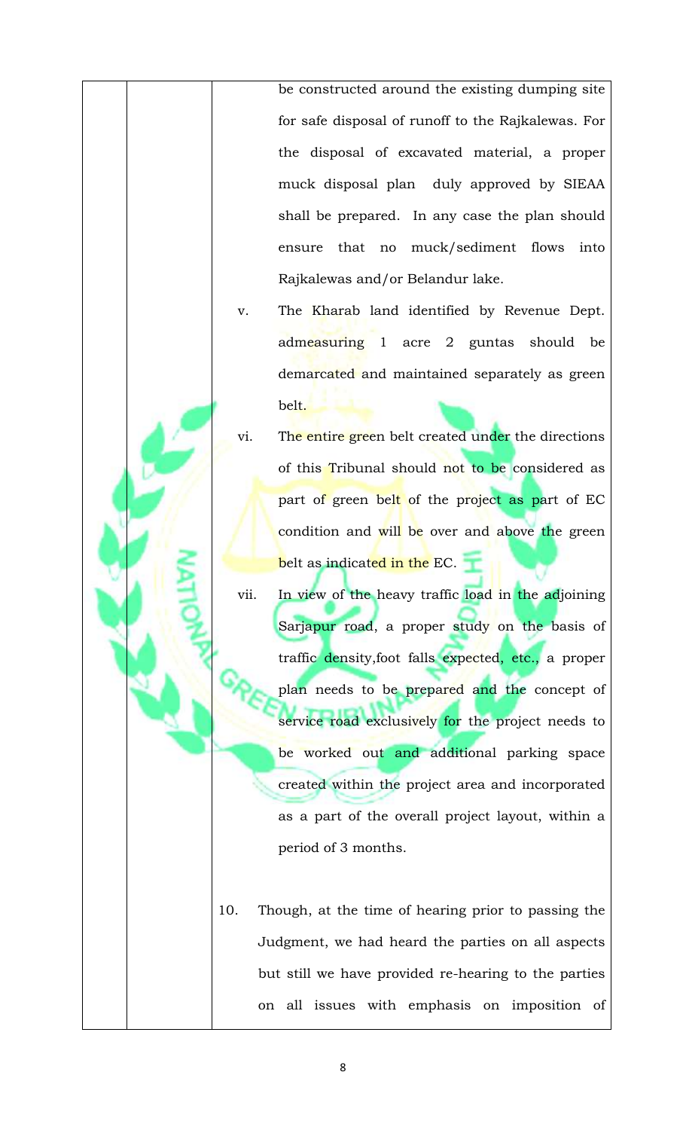be constructed around the existing dumping site for safe disposal of runoff to the Rajkalewas. For the disposal of excavated material, a proper muck disposal plan duly approved by SIEAA shall be prepared. In any case the plan should ensure that no muck/sediment flows into Rajkalewas and/or Belandur lake.

- v. The Kharab land identified by Revenue Dept. admeasuring 1 acre 2 guntas should be demarcated and maintained separately as green belt.
- vi. The entire green belt created under the directions of this Tribunal should not to be considered as part of green belt of the project as part of EC condition and will be over and above the green belt as indicated in the EC.
- vii. In view of the heavy traffic load in the adjoining Sarjapur road, a proper study on the basis of traffic density,foot falls expected, etc., a proper plan needs to be prepared and the concept of service road exclusively for the project needs to be worked out and additional parking space created within the project area and incorporated as a part of the overall project layout, within a period of 3 months.
- 10. Though, at the time of hearing prior to passing the Judgment, we had heard the parties on all aspects but still we have provided re-hearing to the parties on all issues with emphasis on imposition of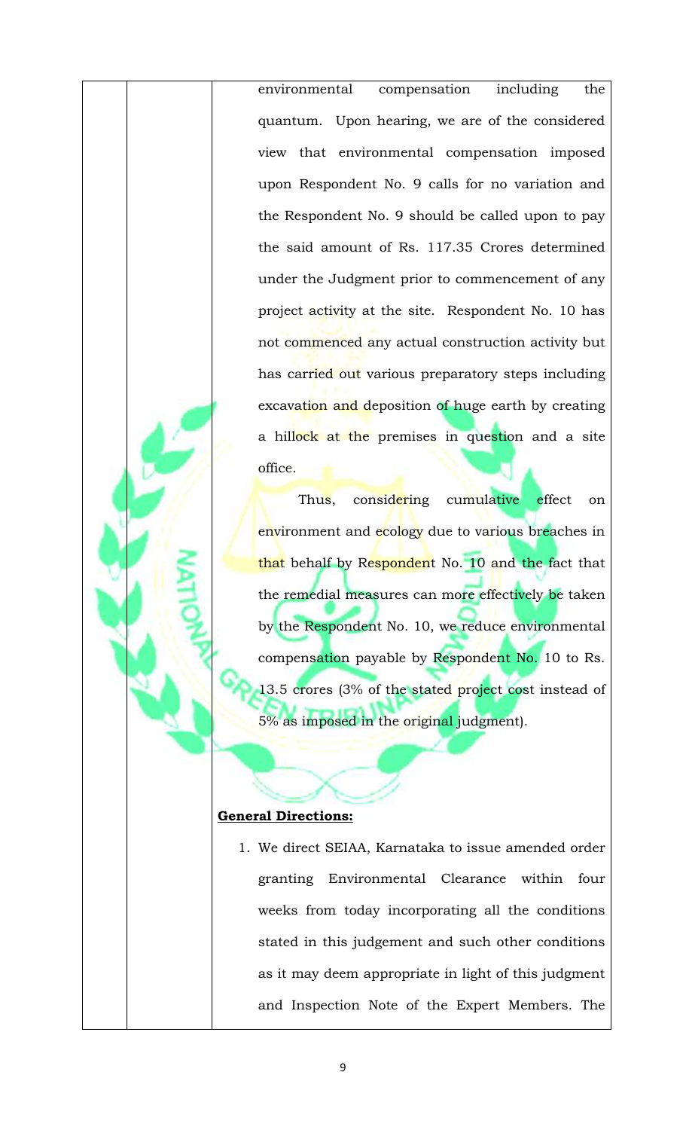environmental compensation including the quantum. Upon hearing, we are of the considered view that environmental compensation imposed upon Respondent No. 9 calls for no variation and the Respondent No. 9 should be called upon to pay the said amount of Rs. 117.35 Crores determined under the Judgment prior to commencement of any project activity at the site. Respondent No. 10 has not commenced any actual construction activity but has carried out various preparatory steps including excavation and deposition of huge earth by creating a hillock at the premises in question and a site office.

Thus, considering cumulative effect on environment and ecology due to various breaches in that behalf by Respondent No. 10 and the fact that the remedial measures can more effectively be taken by the Respondent No. 10, we reduce environmental compensation payable by Respondent No. 10 to Rs. 13.5 crores (3% of the stated project cost instead of 5% as imposed in the original judgment).

# **General Directions:**

1. We direct SEIAA, Karnataka to issue amended order granting Environmental Clearance within four weeks from today incorporating all the conditions stated in this judgement and such other conditions as it may deem appropriate in light of this judgment and Inspection Note of the Expert Members. The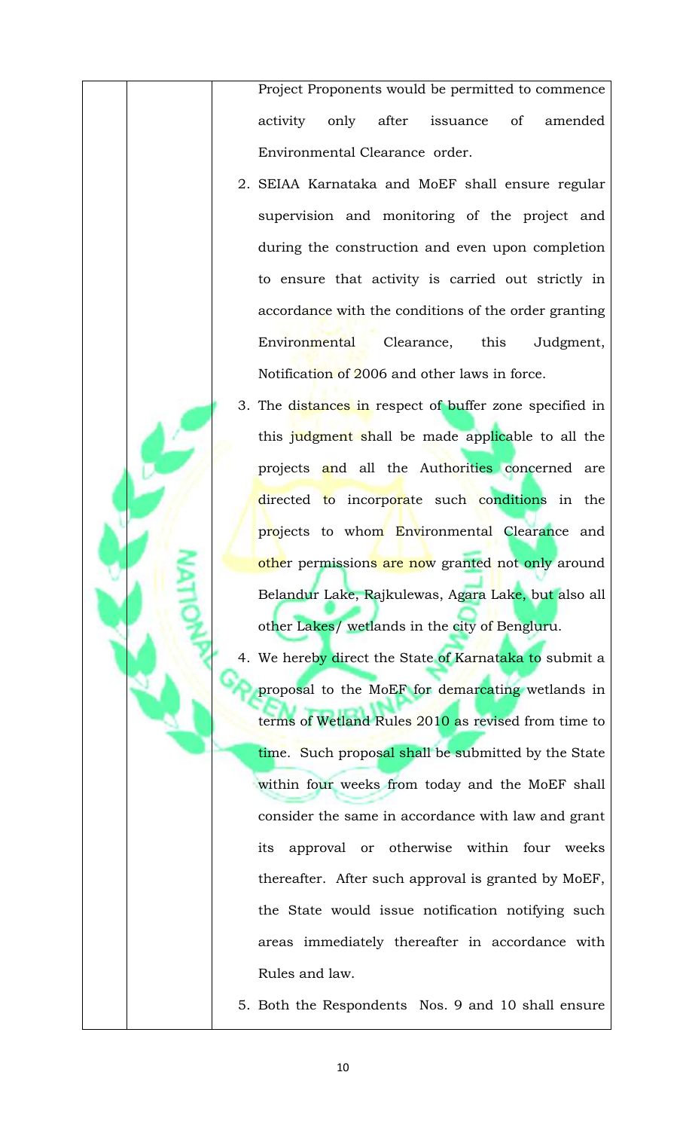Project Proponents would be permitted to commence activity only after issuance of amended Environmental Clearance order.

- 2. SEIAA Karnataka and MoEF shall ensure regular supervision and monitoring of the project and during the construction and even upon completion to ensure that activity is carried out strictly in accordance with the conditions of the order granting Environmental Clearance, this Judgment, Notification of 2006 and other laws in force.
- 3. The distances in respect of buffer zone specified in this judgment shall be made applicable to all the projects and all the Authorities concerned are directed to incorporate such conditions in the projects to whom Environmental Clearance and other permissions are now granted not only around Belandur Lake, Rajkulewas, Agara Lake, but also all other Lakes/ wetlands in the city of Bengluru.
- 4. We hereby direct the State of Karnataka to submit a proposal to the MoEF for demarcating wetlands in terms of Wetland Rules 2010 as revised from time to time. Such proposal shall be submitted by the State within four weeks from today and the MoEF shall consider the same in accordance with law and grant its approval or otherwise within four weeks thereafter. After such approval is granted by MoEF, the State would issue notification notifying such areas immediately thereafter in accordance with Rules and law.
- 5. Both the Respondents Nos. 9 and 10 shall ensure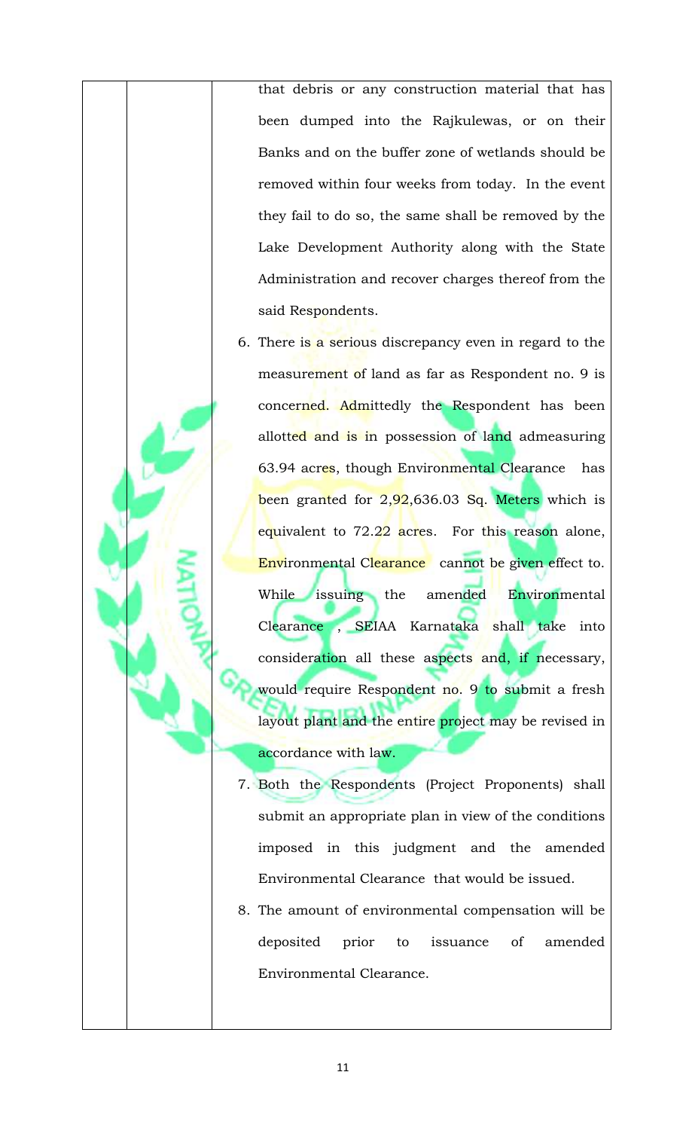that debris or any construction material that has been dumped into the Rajkulewas, or on their Banks and on the buffer zone of wetlands should be removed within four weeks from today. In the event they fail to do so, the same shall be removed by the Lake Development Authority along with the State Administration and recover charges thereof from the said Respondents.

- 6. There is a serious discrepancy even in regard to the measurement of land as far as Respondent no. 9 is concerned. Admittedly the Respondent has been allotted and is in possession of land admeasuring 63.94 acres, though Environmental Clearance has been granted for  $2,92,636.03$  Sq. Meters which is equivalent to 72.22 acres. For this reason alone, Environmental Clearance cannot be given effect to. While issuing the amended Environmental Clearance , SEIAA Karnataka shall take into consideration all these aspects and, if necessary, would require Respondent no. 9 to submit a fresh layout plant and the entire project may be revised in accordance with law.
- 7. Both the Respondents (Project Proponents) shall submit an appropriate plan in view of the conditions imposed in this judgment and the amended Environmental Clearance that would be issued.
- 8. The amount of environmental compensation will be deposited prior to issuance of amended Environmental Clearance.